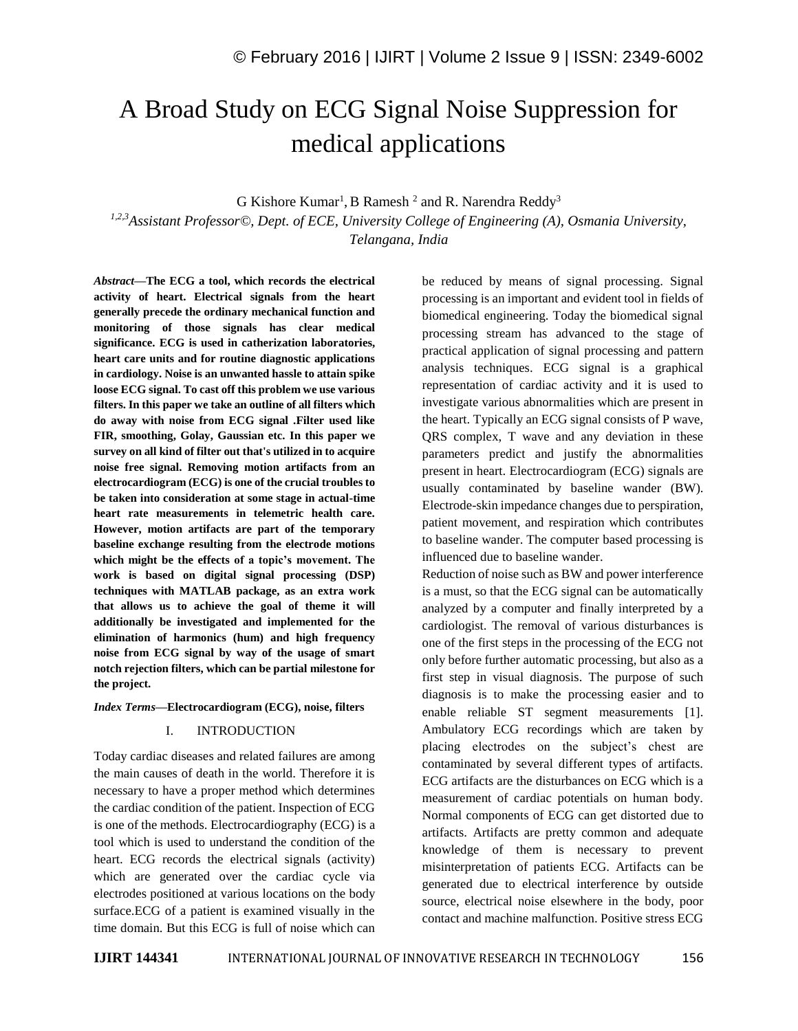# A Broad Study on ECG Signal Noise Suppression for medical applications

G Kishore Kumar<sup>1</sup>, B Ramesh<sup>2</sup> and R. Narendra Reddy<sup>3</sup>

*1,2,3Assistant Professor©, Dept. of ECE, University College of Engineering (A), Osmania University, Telangana, India*

*Abstract—***The ECG a tool, which records the electrical activity of heart. Electrical signals from the heart generally precede the ordinary mechanical function and monitoring of those signals has clear medical significance. ECG is used in catherization laboratories, heart care units and for routine diagnostic applications in cardiology. Noise is an unwanted hassle to attain spike loose ECG signal. To cast off this problem we use various filters. In this paper we take an outline of all filters which do away with noise from ECG signal .Filter used like FIR, smoothing, Golay, Gaussian etc. In this paper we survey on all kind of filter out that's utilized in to acquire noise free signal. Removing motion artifacts from an electrocardiogram (ECG) is one of the crucial troubles to be taken into consideration at some stage in actual-time heart rate measurements in telemetric health care. However, motion artifacts are part of the temporary baseline exchange resulting from the electrode motions which might be the effects of a topic's movement. The work is based on digital signal processing (DSP) techniques with MATLAB package, as an extra work that allows us to achieve the goal of theme it will additionally be investigated and implemented for the elimination of harmonics (hum) and high frequency noise from ECG signal by way of the usage of smart notch rejection filters, which can be partial milestone for the project.**

#### *Index Terms—***Electrocardiogram (ECG), noise, filters**

## I. INTRODUCTION

Today cardiac diseases and related failures are among the main causes of death in the world. Therefore it is necessary to have a proper method which determines the cardiac condition of the patient. Inspection of ECG is one of the methods. Electrocardiography (ECG) is a tool which is used to understand the condition of the heart. ECG records the electrical signals (activity) which are generated over the cardiac cycle via electrodes positioned at various locations on the body surface.ECG of a patient is examined visually in the time domain. But this ECG is full of noise which can be reduced by means of signal processing. Signal processing is an important and evident tool in fields of biomedical engineering. Today the biomedical signal processing stream has advanced to the stage of practical application of signal processing and pattern analysis techniques. ECG signal is a graphical representation of cardiac activity and it is used to investigate various abnormalities which are present in the heart. Typically an ECG signal consists of P wave, QRS complex, T wave and any deviation in these parameters predict and justify the abnormalities present in heart. Electrocardiogram (ECG) signals are usually contaminated by baseline wander (BW). Electrode-skin impedance changes due to perspiration, patient movement, and respiration which contributes to baseline wander. The computer based processing is influenced due to baseline wander.

Reduction of noise such as BW and power interference is a must, so that the ECG signal can be automatically analyzed by a computer and finally interpreted by a cardiologist. The removal of various disturbances is one of the first steps in the processing of the ECG not only before further automatic processing, but also as a first step in visual diagnosis. The purpose of such diagnosis is to make the processing easier and to enable reliable ST segment measurements [1]. Ambulatory ECG recordings which are taken by placing electrodes on the subject's chest are contaminated by several different types of artifacts. ECG artifacts are the disturbances on ECG which is a measurement of cardiac potentials on human body. Normal components of ECG can get distorted due to artifacts. Artifacts are pretty common and adequate knowledge of them is necessary to prevent misinterpretation of patients ECG. Artifacts can be generated due to electrical interference by outside source, electrical noise elsewhere in the body, poor contact and machine malfunction. Positive stress ECG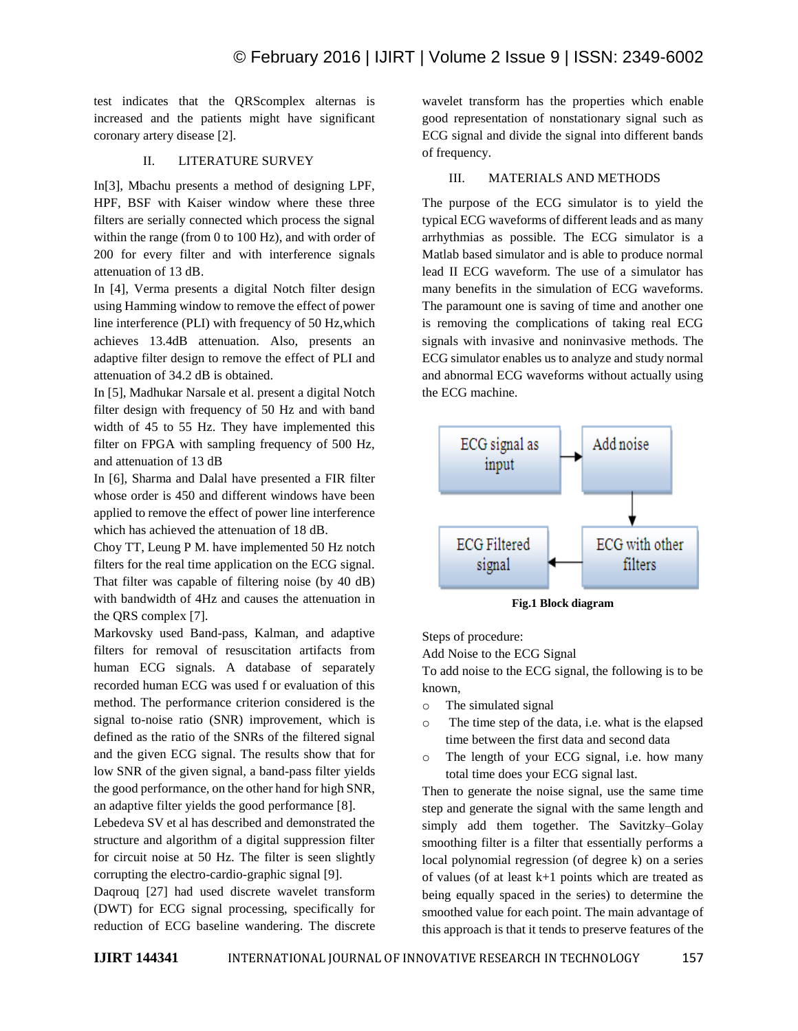test indicates that the QRScomplex alternas is increased and the patients might have significant coronary artery disease [2].

# II. LITERATURE SURVEY

In[3], Mbachu presents a method of designing LPF, HPF, BSF with Kaiser window where these three filters are serially connected which process the signal within the range (from 0 to 100 Hz), and with order of 200 for every filter and with interference signals attenuation of 13 dB.

In [4], Verma presents a digital Notch filter design using Hamming window to remove the effect of power line interference (PLI) with frequency of 50 Hz,which achieves 13.4dB attenuation. Also, presents an adaptive filter design to remove the effect of PLI and attenuation of 34.2 dB is obtained.

In [5], Madhukar Narsale et al. present a digital Notch filter design with frequency of 50 Hz and with band width of 45 to 55 Hz. They have implemented this filter on FPGA with sampling frequency of 500 Hz, and attenuation of 13 dB

In [6], Sharma and Dalal have presented a FIR filter whose order is 450 and different windows have been applied to remove the effect of power line interference which has achieved the attenuation of 18 dB.

Choy TT, Leung P M. have implemented 50 Hz notch filters for the real time application on the ECG signal. That filter was capable of filtering noise (by 40 dB) with bandwidth of 4Hz and causes the attenuation in the QRS complex [7].

Markovsky used Band-pass, Kalman, and adaptive filters for removal of resuscitation artifacts from human ECG signals. A database of separately recorded human ECG was used f or evaluation of this method. The performance criterion considered is the signal to-noise ratio (SNR) improvement, which is defined as the ratio of the SNRs of the filtered signal and the given ECG signal. The results show that for low SNR of the given signal, a band-pass filter yields the good performance, on the other hand for high SNR, an adaptive filter yields the good performance [8].

Lebedeva SV et al has described and demonstrated the structure and algorithm of a digital suppression filter for circuit noise at 50 Hz. The filter is seen slightly corrupting the electro-cardio-graphic signal [9].

Daqrouq [27] had used discrete wavelet transform (DWT) for ECG signal processing, specifically for reduction of ECG baseline wandering. The discrete wavelet transform has the properties which enable good representation of nonstationary signal such as ECG signal and divide the signal into different bands of frequency.

## III. MATERIALS AND METHODS

The purpose of the ECG simulator is to yield the typical ECG waveforms of different leads and as many arrhythmias as possible. The ECG simulator is a Matlab based simulator and is able to produce normal lead II ECG waveform. The use of a simulator has many benefits in the simulation of ECG waveforms. The paramount one is saving of time and another one is removing the complications of taking real ECG signals with invasive and noninvasive methods. The ECG simulator enables us to analyze and study normal and abnormal ECG waveforms without actually using the ECG machine.



**Fig.1 Block diagram**

Steps of procedure:

Add Noise to the ECG Signal

To add noise to the ECG signal, the following is to be known,

- o The simulated signal
- o The time step of the data, i.e. what is the elapsed time between the first data and second data
- o The length of your ECG signal, i.e. how many total time does your ECG signal last.

Then to generate the noise signal, use the same time step and generate the signal with the same length and simply add them together. The Savitzky–Golay smoothing filter is a filter that essentially performs a local polynomial regression (of degree k) on a series of values (of at least k+1 points which are treated as being equally spaced in the series) to determine the smoothed value for each point. The main advantage of this approach is that it tends to preserve features of the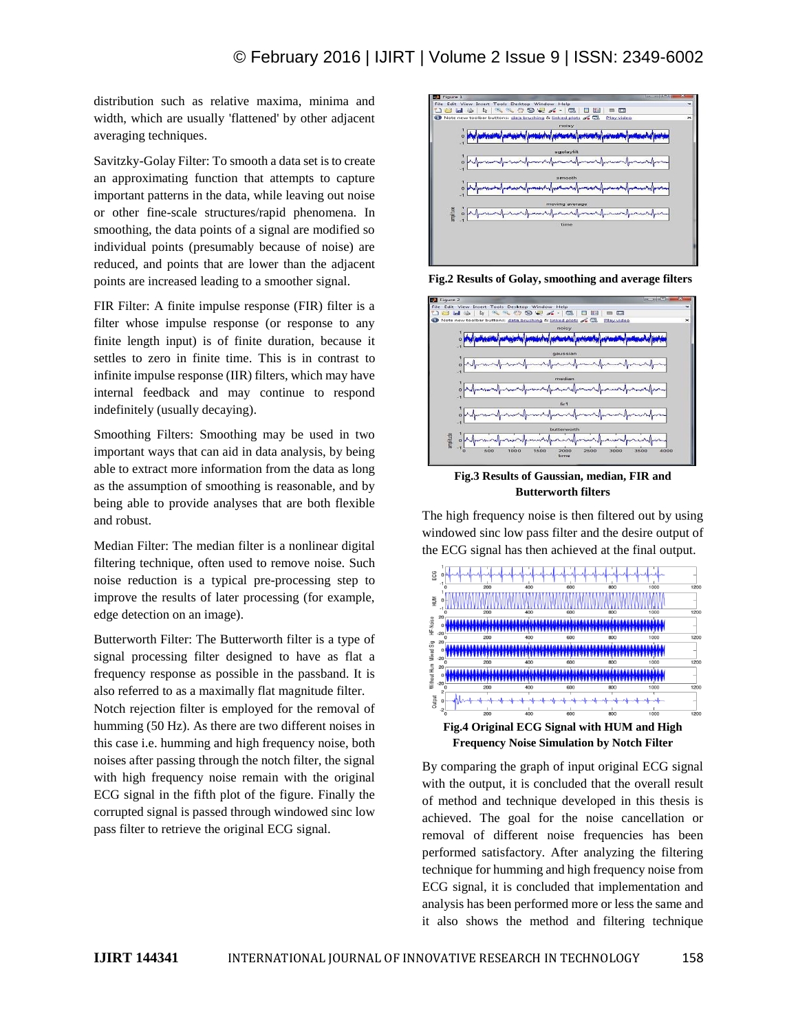distribution such as relative maxima, minima and width, which are usually 'flattened' by other adjacent averaging techniques.

Savitzky-Golay Filter: To smooth a data set is to create an approximating function that attempts to capture important patterns in the data, while leaving out noise or other fine-scale structures/rapid phenomena. In smoothing, the data points of a signal are modified so individual points (presumably because of noise) are reduced, and points that are lower than the adjacent points are increased leading to a smoother signal.

FIR Filter: A finite impulse response (FIR) filter is a filter whose impulse response (or response to any finite length input) is of finite duration, because it settles to zero in finite time. This is in contrast to infinite impulse response (IIR) filters, which may have internal feedback and may continue to respond indefinitely (usually decaying).

Smoothing Filters: Smoothing may be used in two important ways that can aid in data analysis, by being able to extract more information from the data as long as the assumption of smoothing is reasonable, and by being able to provide analyses that are both flexible and robust.

Median Filter: The median filter is a nonlinear digital filtering technique, often used to remove noise. Such noise reduction is a typical pre-processing step to improve the results of later processing (for example, edge detection on an image).

Butterworth Filter: The Butterworth filter is a type of signal processing filter designed to have as flat a frequency response as possible in the passband. It is also referred to as a maximally flat magnitude filter.

Notch rejection filter is employed for the removal of humming (50 Hz). As there are two different noises in this case i.e. humming and high frequency noise, both noises after passing through the notch filter, the signal with high frequency noise remain with the original ECG signal in the fifth plot of the figure. Finally the corrupted signal is passed through windowed sinc low pass filter to retrieve the original ECG signal.



**Fig.2 Results of Golay, smoothing and average filters**



**Fig.3 Results of Gaussian, median, FIR and Butterworth filters**

The high frequency noise is then filtered out by using windowed sinc low pass filter and the desire output of the ECG signal has then achieved at the final output.



By comparing the graph of input original ECG signal with the output, it is concluded that the overall result of method and technique developed in this thesis is achieved. The goal for the noise cancellation or removal of different noise frequencies has been performed satisfactory. After analyzing the filtering technique for humming and high frequency noise from ECG signal, it is concluded that implementation and analysis has been performed more or less the same and it also shows the method and filtering technique